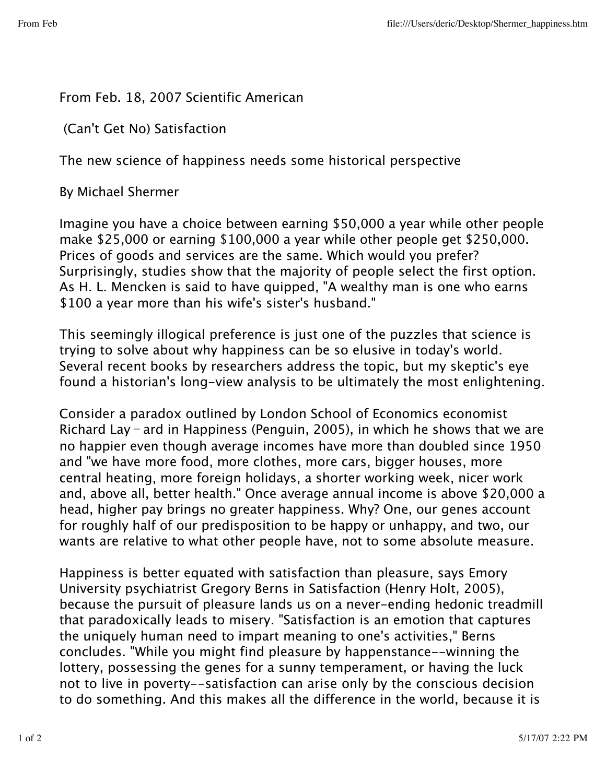## From Feb. 18, 2007 Scientific American

(Can't Get No) Satisfaction

The new science of happiness needs some historical perspective

By Michael Shermer

Imagine you have a choice between earning \$50,000 a year while other people make \$25,000 or earning \$100,000 a year while other people get \$250,000. Prices of goods and services are the same. Which would you prefer? Surprisingly, studies show that the majority of people select the first option. As H. L. Mencken is said to have quipped, "A wealthy man is one who earns \$100 a year more than his wife's sister's husband."

This seemingly illogical preference is just one of the puzzles that science is trying to solve about why happiness can be so elusive in today's world. Several recent books by researchers address the topic, but my skeptic's eye found a historian's long-view analysis to be ultimately the most enlightening.

Consider a paradox outlined by London School of Economics economist Richard Lay–ard in Happiness (Penguin, 2005), in which he shows that we are no happier even though average incomes have more than doubled since 1950 and "we have more food, more clothes, more cars, bigger houses, more central heating, more foreign holidays, a shorter working week, nicer work and, above all, better health." Once average annual income is above \$20,000 a head, higher pay brings no greater happiness. Why? One, our genes account for roughly half of our predisposition to be happy or unhappy, and two, our wants are relative to what other people have, not to some absolute measure.

Happiness is better equated with satisfaction than pleasure, says Emory University psychiatrist Gregory Berns in Satisfaction (Henry Holt, 2005), because the pursuit of pleasure lands us on a never-ending hedonic treadmill that paradoxically leads to misery. "Satisfaction is an emotion that captures the uniquely human need to impart meaning to one's activities," Berns concludes. "While you might find pleasure by happenstance--winning the lottery, possessing the genes for a sunny temperament, or having the luck not to live in poverty--satisfaction can arise only by the conscious decision to do something. And this makes all the difference in the world, because it is